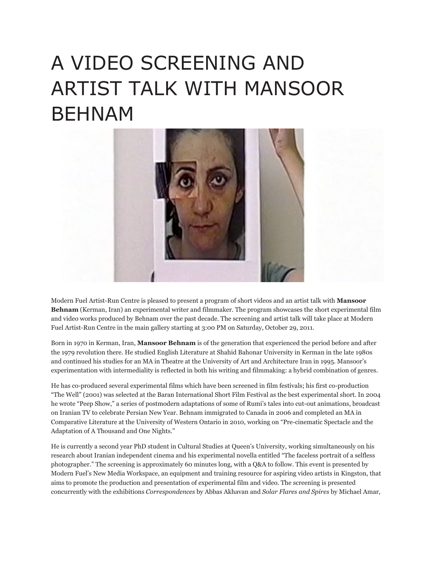## A VIDEO SCREENING AND ARTIST TALK WITH MANSOOR BEHNAM



Modern Fuel Artist-Run Centre is pleased to present a program of short videos and an artist talk with **Mansoor Behnam** (Kerman, Iran) an experimental writer and filmmaker. The program showcases the short experimental film and video works produced by Behnam over the past decade. The screening and artist talk will take place at Modern Fuel Artist-Run Centre in the main gallery starting at 3:00 PM on Saturday, October 29, 2011.

Born in 1970 in Kerman, Iran, **Mansoor Behnam** is of the generation that experienced the period before and after the 1979 revolution there. He studied English Literature at Shahid Bahonar University in Kerman in the late 1980s and continued his studies for an MA in Theatre at the University of Art and Architecture Iran in 1995. Mansoor's experimentation with intermediality is reflected in both his writing and filmmaking: a hybrid combination of genres.

He has co-produced several experimental films which have been screened in film festivals; his first co-production "The Well" (2001) was selected at the Baran International Short Film Festival as the best experimental short. In 2004 he wrote "Peep Show," a series of postmodern adaptations of some of Rumi's tales into cut-out animations, broadcast on Iranian TV to celebrate Persian New Year. Behnam immigrated to Canada in 2006 and completed an MA in Comparative Literature at the University of Western Ontario in 2010, working on "Pre-cinematic Spectacle and the Adaptation of A Thousand and One Nights."

He is currently a second year PhD student in Cultural Studies at Queen's University, working simultaneously on his research about Iranian independent cinema and his experimental novella entitled "The faceless portrait of a selfless photographer." The screening is approximately 60 minutes long, with a Q&A to follow. This event is presented by Modern Fuel's New Media Workspace, an equipment and training resource for aspiring video artists in Kingston, that aims to promote the production and presentation of experimental film and video. The screening is presented concurrently with the exhibitions *Correspondences* by Abbas Akhavan and *Solar Flares and Spires* by Michael Amar,